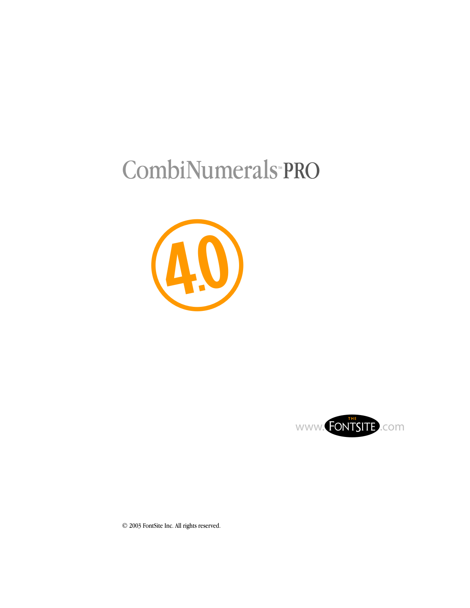# CombiNumerals PRO





© 2003 FontSite Inc. All rights reserved.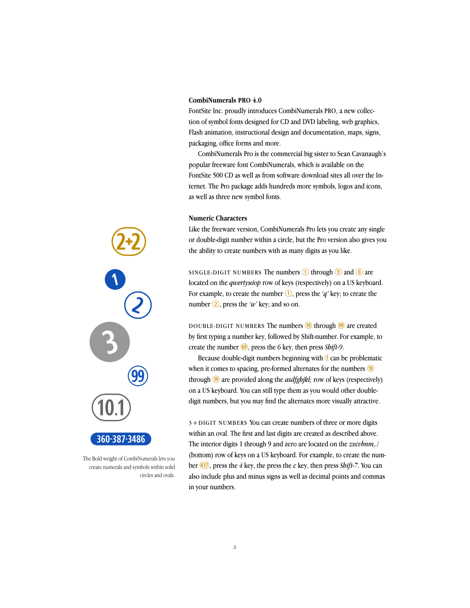# **CombiNumerals PRO 4.0**

FontSite Inc. proudly introduces CombiNumerals PRO, a new collection of symbol fonts designed for CD and DVD labeling, web graphics, Flash animation, instructional design and documentation, maps, signs, packaging, office forms and more.

CombiNumerals Pro is the commercial big sister to Sean Cavanaugh's popular freeware font CombiNumerals, which is available on the FontSite 500 CD as well as from software download sites all over the Internet. The Pro package adds hundreds more symbols, logos and icons, as well as three new symbol fonts.

### **Numeric Characters**

Like the freeware version, CombiNumerals Pro lets you create any single or double-digit number within a circle, but the Pro version also gives you the ability to create numbers with as many digits as you like.

SINGLE-DIGIT NUMBERS The numbers  $\bigcirc$  through  $\bigcirc$  and  $\bigcirc$  are located on the *qwertyuiop* row of keys (respectively) on a US keyboard. For example, to create the number  $\circled{1}$ , press the *'q'* key; to create the number  $\overline{Q}$ , press the 'w' key; and so on.

DOUBLE-DIGIT NUMBERS The numbers  $(0)$  through  $(9)$  are created by first typing a number key, followed by Shift-number. For example, to create the number  $\circled{0}$ , press the 6 key, then press *Shift-9*.

Because double-digit numbers beginning with  $\overline{1}$  can be problematic when it comes to spacing, pre-formed alternates for the numbers  $\omega$ through <sup>(19</sup>) are provided along the *asdfghjkl*; row of keys (respectively) on a US keyboard. You can still type them as you would other doubledigit numbers, but you may find the alternates more visually attractive.

3+DIGIT NUMBERS You can create numbers of three or more digits within an oval. The first and last digits are created as described above. The interior digits 1 through 9 and zero are located on the *zxcvbnm,./* (bottom) row of keys on a US keyboard. For example, to create the number  $\frac{437}{ }$ , press the 4 key, the press the *c* key, then press *Shift-7*. You can also include plus and minus signs as well as decimal points and commas in your numbers.



The Bold weight of CombiNumerals lets you create numerals and symbols within solid circles and ovals.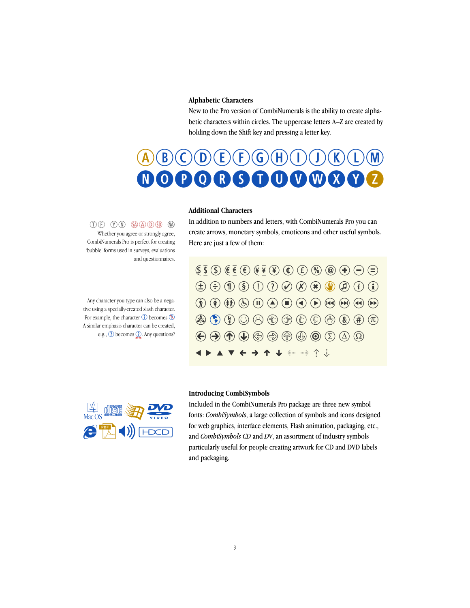# **Alphabetic Characters**

New to the Pro version of CombiNumerals is the ability to create alphabetic characters within circles. The uppercase letters A–Z are created by holding down the Shift key and pressing a letter key.



# **Additional Characters**



Any character you type can also be a negative using a specially-created slash character. For example, the character  $\odot$  becomes  $\odot$ A similar emphasis character can be created, e.g.,  $\odot$  becomes  $\odot$ . Any questions?

In addition to numbers and letters, with CombiNumerals Pro you can create arrows, monetary symbols, emoticons and other useful symbols. Here are just a few of them:





#### **Introducing CombiSymbols**

Included in the CombiNumerals Pro package are three new symbol fonts: *CombiSymbols*, a large collection of symbols and icons designed for web graphics, interface elements, Flash animation, packaging, etc., and *CombiSymbols CD* and *DV*, an assortment of industry symbols particularly useful for people creating artwork for CD and DVD labels and packaging.